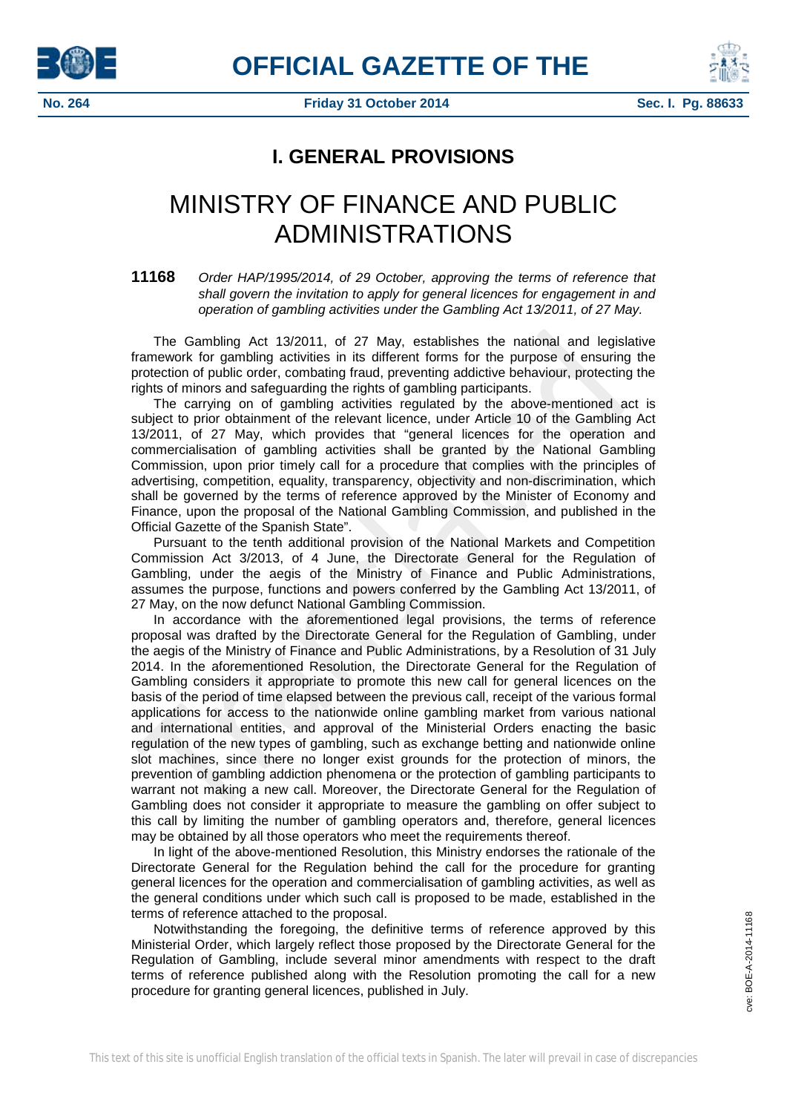



**No. 264 Friday 31 October 2014 Sec. I. Pg. 88633**

# **I. GENERAL PROVISIONS**

# MINISTRY OF FINANCE AND PUBLIC ADMINISTRATIONS

**11168** *Order HAP/1995/2014, of 29 October, approving the terms of reference that shall govern the invitation to apply for general licences for engagement in and operation of gambling activities under the Gambling Act 13/2011, of 27 May.*

The Gambling Act 13/2011, of 27 May, establishes the national and legislative framework for gambling activities in its different forms for the purpose of ensuring the protection of public order, combating fraud, preventing addictive behaviour, protecting the rights of minors and safeguarding the rights of gambling participants.

The carrying on of gambling activities regulated by the above-mentioned act is subject to prior obtainment of the relevant licence, under Article 10 of the Gambling Act 13/2011, of 27 May, which provides that "general licences for the operation and commercialisation of gambling activities shall be granted by the National Gambling Commission, upon prior timely call for a procedure that complies with the principles of advertising, competition, equality, transparency, objectivity and non-discrimination, which shall be governed by the terms of reference approved by the Minister of Economy and Finance, upon the proposal of the National Gambling Commission, and published in the Official Gazette of the Spanish State".

Pursuant to the tenth additional provision of the National Markets and Competition Commission Act 3/2013, of 4 June, the Directorate General for the Regulation of Gambling, under the aegis of the Ministry of Finance and Public Administrations, assumes the purpose, functions and powers conferred by the Gambling Act 13/2011, of 27 May, on the now defunct National Gambling Commission.

In accordance with the aforementioned legal provisions, the terms of reference proposal was drafted by the Directorate General for the Regulation of Gambling, under the aegis of the Ministry of Finance and Public Administrations, by a Resolution of 31 July 2014. In the aforementioned Resolution, the Directorate General for the Regulation of Gambling considers it appropriate to promote this new call for general licences on the basis of the period of time elapsed between the previous call, receipt of the various formal applications for access to the nationwide online gambling market from various national and international entities, and approval of the Ministerial Orders enacting the basic regulation of the new types of gambling, such as exchange betting and nationwide online slot machines, since there no longer exist grounds for the protection of minors, the prevention of gambling addiction phenomena or the protection of gambling participants to warrant not making a new call. Moreover, the Directorate General for the Regulation of Gambling does not consider it appropriate to measure the gambling on offer subject to this call by limiting the number of gambling operators and, therefore, general licences may be obtained by all those operators who meet the requirements thereof.

In light of the above-mentioned Resolution, this Ministry endorses the rationale of the Directorate General for the Regulation behind the call for the procedure for granting general licences for the operation and commercialisation of gambling activities, as well as the general conditions under which such call is proposed to be made, established in the terms of reference attached to the proposal.

Notwithstanding the foregoing, the definitive terms of reference approved by this Ministerial Order, which largely reflect those proposed by the Directorate General for the Regulation of Gambling, include several minor amendments with respect to the draft terms of reference published along with the Resolution promoting the call for a new procedure for granting general licences, published in July.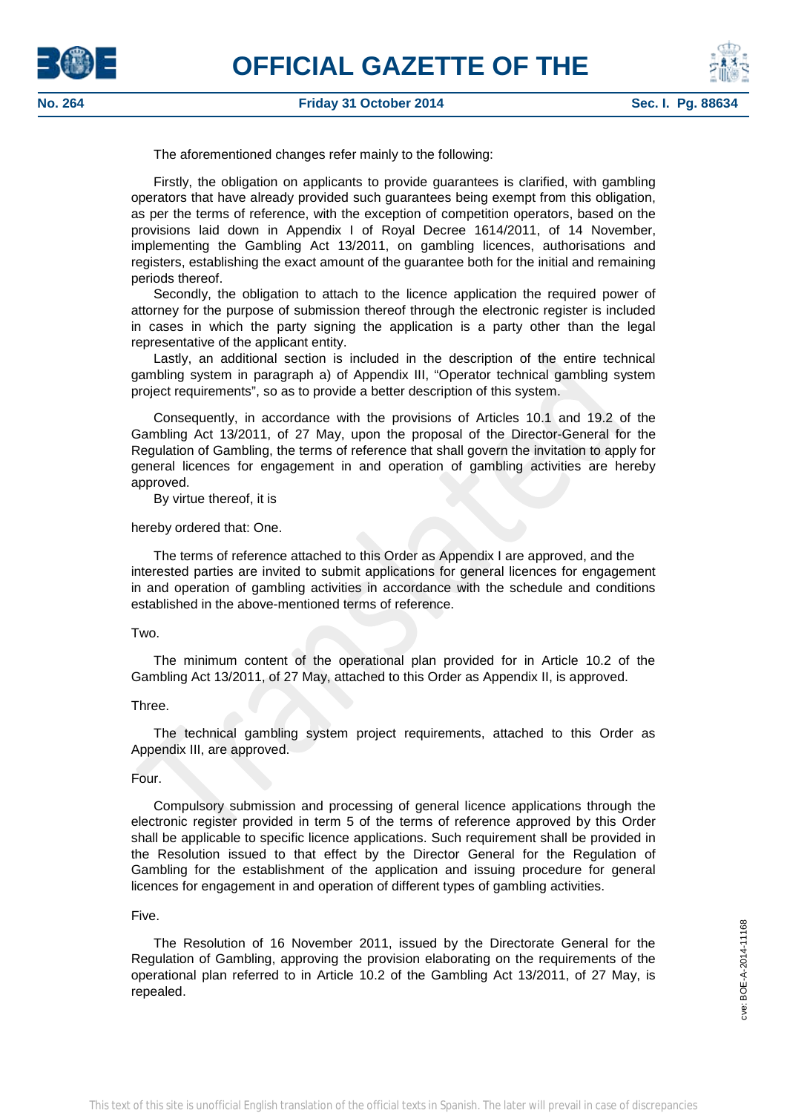



The aforementioned changes refer mainly to the following:

Firstly, the obligation on applicants to provide guarantees is clarified, with gambling operators that have already provided such guarantees being exempt from this obligation, as per the terms of reference, with the exception of competition operators, based on the provisions laid down in Appendix I of Royal Decree 1614/2011, of 14 November, implementing the Gambling Act 13/2011, on gambling licences, authorisations and registers, establishing the exact amount of the guarantee both for the initial and remaining periods thereof.

Secondly, the obligation to attach to the licence application the required power of attorney for the purpose of submission thereof through the electronic register is included in cases in which the party signing the application is a party other than the legal representative of the applicant entity.

Lastly, an additional section is included in the description of the entire technical gambling system in paragraph a) of Appendix III, "Operator technical gambling system project requirements", so as to provide a better description of this system.

Consequently, in accordance with the provisions of Articles 10.1 and 19.2 of the Gambling Act 13/2011, of 27 May, upon the proposal of the Director-General for the Regulation of Gambling, the terms of reference that shall govern the invitation to apply for general licences for engagement in and operation of gambling activities are hereby approved.

By virtue thereof, it is

hereby ordered that: One.

The terms of reference attached to this Order as Appendix I are approved, and the interested parties are invited to submit applications for general licences for engagement in and operation of gambling activities in accordance with the schedule and conditions established in the above-mentioned terms of reference.

#### Two.

The minimum content of the operational plan provided for in Article 10.2 of the Gambling Act 13/2011, of 27 May, attached to this Order as Appendix II, is approved.

# Three.

The technical gambling system project requirements, attached to this Order as Appendix III, are approved.

# Four.

Compulsory submission and processing of general licence applications through the electronic register provided in term 5 of the terms of reference approved by this Order shall be applicable to specific licence applications. Such requirement shall be provided in the Resolution issued to that effect by the Director General for the Regulation of Gambling for the establishment of the application and issuing procedure for general licences for engagement in and operation of different types of gambling activities.

# Five.

The Resolution of 16 November 2011, issued by the Directorate General for the Regulation of Gambling, approving the provision elaborating on the requirements of the operational plan referred to in Article 10.2 of the Gambling Act 13/2011, of 27 May, is repealed.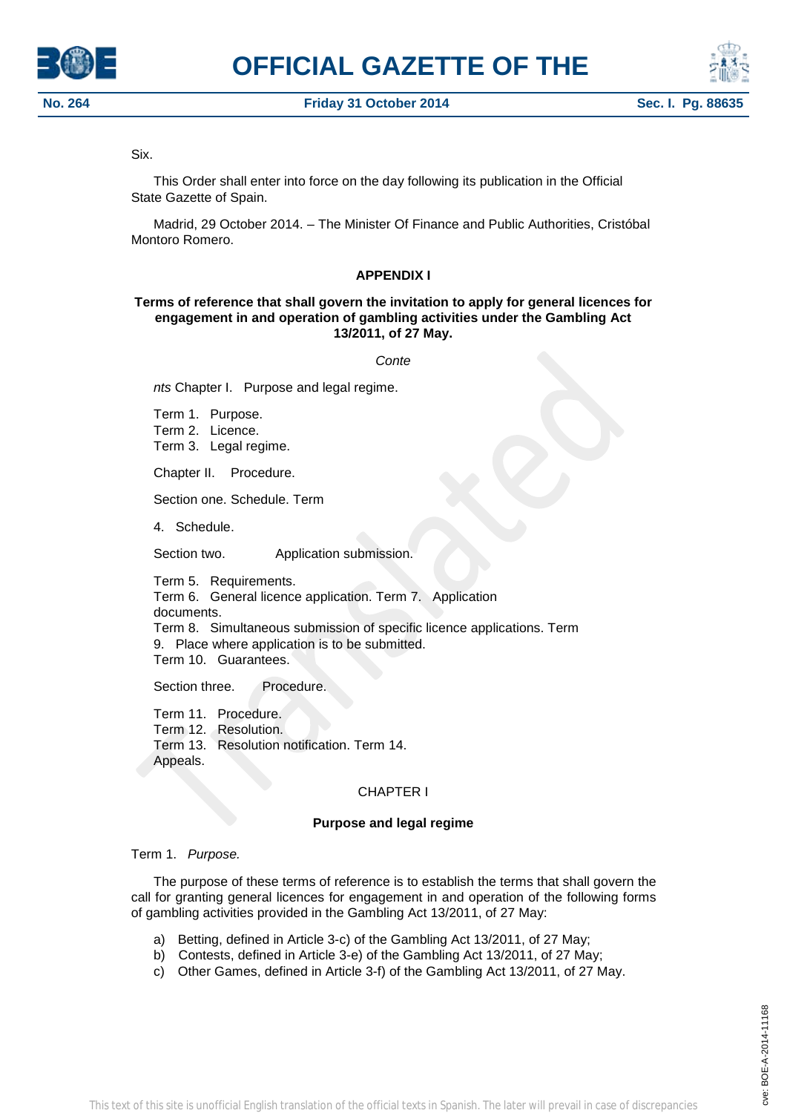





# Six.

This Order shall enter into force on the day following its publication in the Official State Gazette of Spain.

Madrid, 29 October 2014. – The Minister Of Finance and Public Authorities, Cristóbal Montoro Romero.

# **APPENDIX I**

# **Terms of reference that shall govern the invitation to apply for general licences for engagement in and operation of gambling activities under the Gambling Act 13/2011, of 27 May.**

*Conte*

*nts* Chapter I. Purpose and legal regime.

Term 1. Purpose. Term 2. Licence. Term 3. Legal regime.

Chapter II. Procedure.

Section one. Schedule. Term

4. Schedule.

Section two. **Application submission.** 

Term 5. Requirements. Term 6. General licence application. Term 7. Application documents. Term 8. Simultaneous submission of specific licence applications. Term 9. Place where application is to be submitted. Term 10. Guarantees.

Section three. Procedure.

Term 11. Procedure. Term 12. Resolution. Term 13. Resolution notification. Term 14. Appeals.

# CHAPTER I

# **Purpose and legal regime**

# Term 1. *Purpose.*

The purpose of these terms of reference is to establish the terms that shall govern the call for granting general licences for engagement in and operation of the following forms of gambling activities provided in the Gambling Act 13/2011, of 27 May:

- a) Betting, defined in Article 3-c) of the Gambling Act 13/2011, of 27 May;
- b) Contests, defined in Article 3-e) of the Gambling Act 13/2011, of 27 May;
- c) Other Games, defined in Article 3-f) of the Gambling Act 13/2011, of 27 May.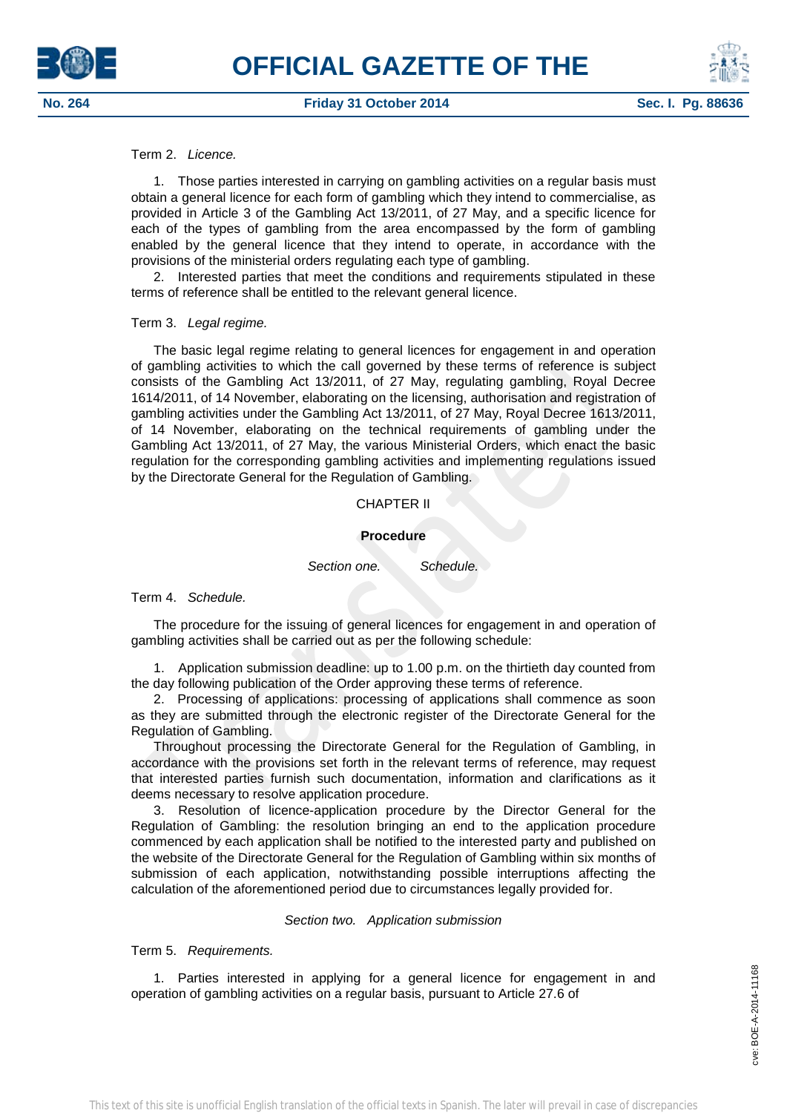# Term 2. *Licence.*

1. Those parties interested in carrying on gambling activities on a regular basis must obtain a general licence for each form of gambling which they intend to commercialise, as provided in Article 3 of the Gambling Act 13/2011, of 27 May, and a specific licence for each of the types of gambling from the area encompassed by the form of gambling enabled by the general licence that they intend to operate, in accordance with the provisions of the ministerial orders regulating each type of gambling.

2. Interested parties that meet the conditions and requirements stipulated in these terms of reference shall be entitled to the relevant general licence.

## Term 3. *Legal regime.*

The basic legal regime relating to general licences for engagement in and operation of gambling activities to which the call governed by these terms of reference is subject consists of the Gambling Act 13/2011, of 27 May, regulating gambling, Royal Decree 1614/2011, of 14 November, elaborating on the licensing, authorisation and registration of gambling activities under the Gambling Act 13/2011, of 27 May, Royal Decree 1613/2011, of 14 November, elaborating on the technical requirements of gambling under the Gambling Act 13/2011, of 27 May, the various Ministerial Orders, which enact the basic regulation for the corresponding gambling activities and implementing regulations issued by the Directorate General for the Regulation of Gambling.

## CHAPTER II

#### **Procedure**

*Section one. Schedule.*

# Term 4. *Schedule.*

The procedure for the issuing of general licences for engagement in and operation of gambling activities shall be carried out as per the following schedule:

1. Application submission deadline: up to 1.00 p.m. on the thirtieth day counted from the day following publication of the Order approving these terms of reference.

2. Processing of applications: processing of applications shall commence as soon as they are submitted through the electronic register of the Directorate General for the Regulation of Gambling.

Throughout processing the Directorate General for the Regulation of Gambling, in accordance with the provisions set forth in the relevant terms of reference, may request that interested parties furnish such documentation, information and clarifications as it deems necessary to resolve application procedure.

3. Resolution of licence-application procedure by the Director General for the Regulation of Gambling: the resolution bringing an end to the application procedure commenced by each application shall be notified to the interested party and published on the website of the Directorate General for the Regulation of Gambling within six months of submission of each application, notwithstanding possible interruptions affecting the calculation of the aforementioned period due to circumstances legally provided for.

# *Section two. Application submission*

Term 5. *Requirements.*

1. Parties interested in applying for a general licence for engagement in and operation of gambling activities on a regular basis, pursuant to Article 27.6 of



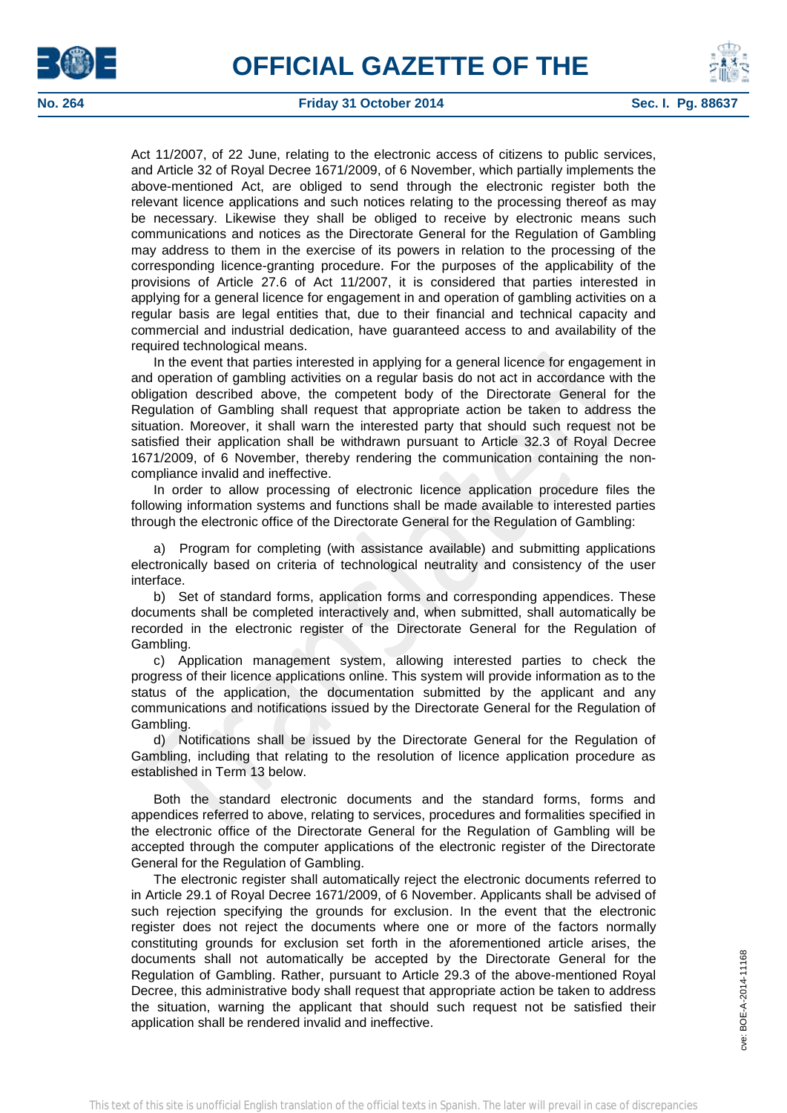



Act 11/2007, of 22 June, relating to the electronic access of citizens to public services, and Article 32 of Royal Decree 1671/2009, of 6 November, which partially implements the above-mentioned Act, are obliged to send through the electronic register both the relevant licence applications and such notices relating to the processing thereof as may be necessary. Likewise they shall be obliged to receive by electronic means such communications and notices as the Directorate General for the Regulation of Gambling may address to them in the exercise of its powers in relation to the processing of the corresponding licence-granting procedure. For the purposes of the applicability of the provisions of Article 27.6 of Act 11/2007, it is considered that parties interested in applying for a general licence for engagement in and operation of gambling activities on a regular basis are legal entities that, due to their financial and technical capacity and commercial and industrial dedication, have guaranteed access to and availability of the required technological means.

In the event that parties interested in applying for a general licence for engagement in and operation of gambling activities on a regular basis do not act in accordance with the obligation described above, the competent body of the Directorate General for the Regulation of Gambling shall request that appropriate action be taken to address the situation. Moreover, it shall warn the interested party that should such request not be satisfied their application shall be withdrawn pursuant to Article 32.3 of Royal Decree 1671/2009, of 6 November, thereby rendering the communication containing the noncompliance invalid and ineffective.

In order to allow processing of electronic licence application procedure files the following information systems and functions shall be made available to interested parties through the electronic office of the Directorate General for the Regulation of Gambling:

a) Program for completing (with assistance available) and submitting applications electronically based on criteria of technological neutrality and consistency of the user interface.

b) Set of standard forms, application forms and corresponding appendices. These documents shall be completed interactively and, when submitted, shall automatically be recorded in the electronic register of the Directorate General for the Regulation of Gambling.

c) Application management system, allowing interested parties to check the progress of their licence applications online. This system will provide information as to the status of the application, the documentation submitted by the applicant and any communications and notifications issued by the Directorate General for the Regulation of Gambling.

d) Notifications shall be issued by the Directorate General for the Regulation of Gambling, including that relating to the resolution of licence application procedure as established in Term 13 below.

Both the standard electronic documents and the standard forms, forms and appendices referred to above, relating to services, procedures and formalities specified in the electronic office of the Directorate General for the Regulation of Gambling will be accepted through the computer applications of the electronic register of the Directorate General for the Regulation of Gambling.

The electronic register shall automatically reject the electronic documents referred to in Article 29.1 of Royal Decree 1671/2009, of 6 November. Applicants shall be advised of such rejection specifying the grounds for exclusion. In the event that the electronic register does not reject the documents where one or more of the factors normally constituting grounds for exclusion set forth in the aforementioned article arises, the documents shall not automatically be accepted by the Directorate General for the Regulation of Gambling. Rather, pursuant to Article 29.3 of the above-mentioned Royal Decree, this administrative body shall request that appropriate action be taken to address the situation, warning the applicant that should such request not be satisfied their application shall be rendered invalid and ineffective.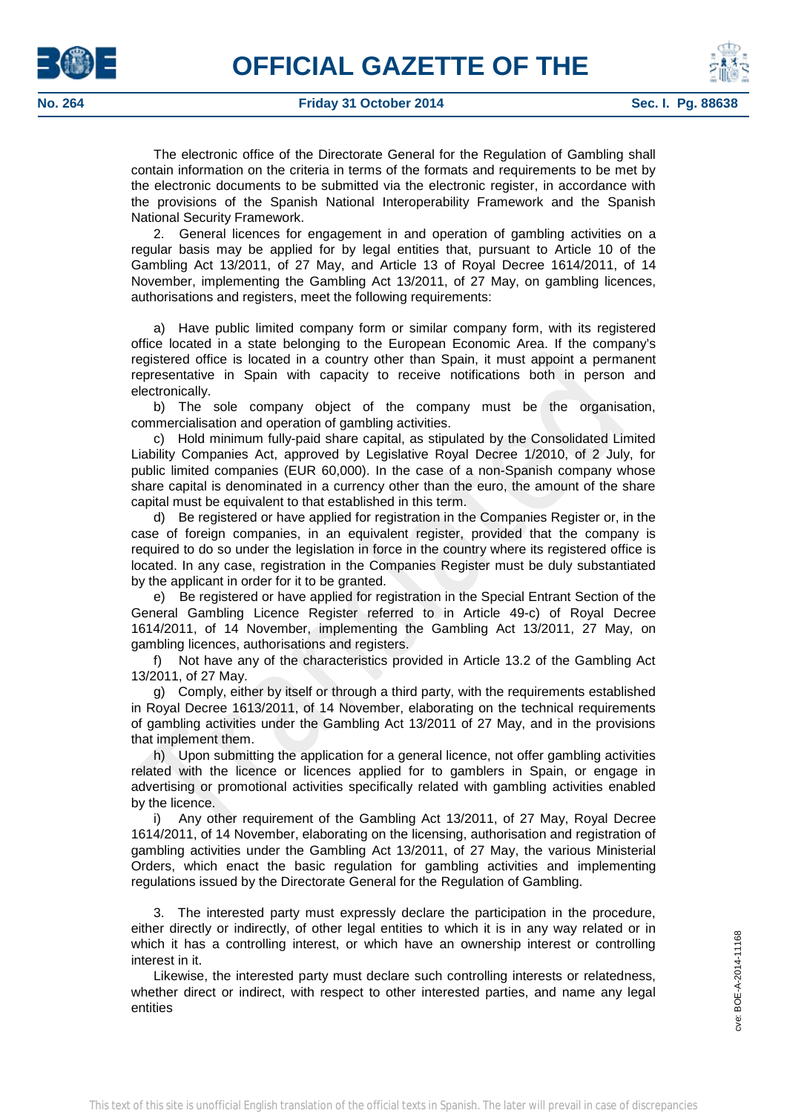





The electronic office of the Directorate General for the Regulation of Gambling shall contain information on the criteria in terms of the formats and requirements to be met by the electronic documents to be submitted via the electronic register, in accordance with the provisions of the Spanish National Interoperability Framework and the Spanish National Security Framework.

2. General licences for engagement in and operation of gambling activities on a regular basis may be applied for by legal entities that, pursuant to Article 10 of the Gambling Act 13/2011, of 27 May, and Article 13 of Royal Decree 1614/2011, of 14 November, implementing the Gambling Act 13/2011, of 27 May, on gambling licences, authorisations and registers, meet the following requirements:

a) Have public limited company form or similar company form, with its registered office located in a state belonging to the European Economic Area. If the company's registered office is located in a country other than Spain, it must appoint a permanent representative in Spain with capacity to receive notifications both in person and electronically.

b) The sole company object of the company must be the organisation, commercialisation and operation of gambling activities.

c) Hold minimum fully-paid share capital, as stipulated by the Consolidated Limited Liability Companies Act, approved by Legislative Royal Decree 1/2010, of 2 July, for public limited companies (EUR 60,000). In the case of a non-Spanish company whose share capital is denominated in a currency other than the euro, the amount of the share capital must be equivalent to that established in this term.

d) Be registered or have applied for registration in the Companies Register or, in the case of foreign companies, in an equivalent register, provided that the company is required to do so under the legislation in force in the country where its registered office is located. In any case, registration in the Companies Register must be duly substantiated by the applicant in order for it to be granted.

e) Be registered or have applied for registration in the Special Entrant Section of the General Gambling Licence Register referred to in Article 49-c) of Royal Decree 1614/2011, of 14 November, implementing the Gambling Act 13/2011, 27 May, on gambling licences, authorisations and registers.

f) Not have any of the characteristics provided in Article 13.2 of the Gambling Act 13/2011, of 27 May.

g) Comply, either by itself or through a third party, with the requirements established in Royal Decree 1613/2011, of 14 November, elaborating on the technical requirements of gambling activities under the Gambling Act 13/2011 of 27 May, and in the provisions that implement them.

h) Upon submitting the application for a general licence, not offer gambling activities related with the licence or licences applied for to gamblers in Spain, or engage in advertising or promotional activities specifically related with gambling activities enabled by the licence.

i) Any other requirement of the Gambling Act 13/2011, of 27 May, Royal Decree 1614/2011, of 14 November, elaborating on the licensing, authorisation and registration of gambling activities under the Gambling Act 13/2011, of 27 May, the various Ministerial Orders, which enact the basic regulation for gambling activities and implementing regulations issued by the Directorate General for the Regulation of Gambling.

3. The interested party must expressly declare the participation in the procedure, either directly or indirectly, of other legal entities to which it is in any way related or in which it has a controlling interest, or which have an ownership interest or controlling interest in it.

Likewise, the interested party must declare such controlling interests or relatedness, whether direct or indirect, with respect to other interested parties, and name any legal entities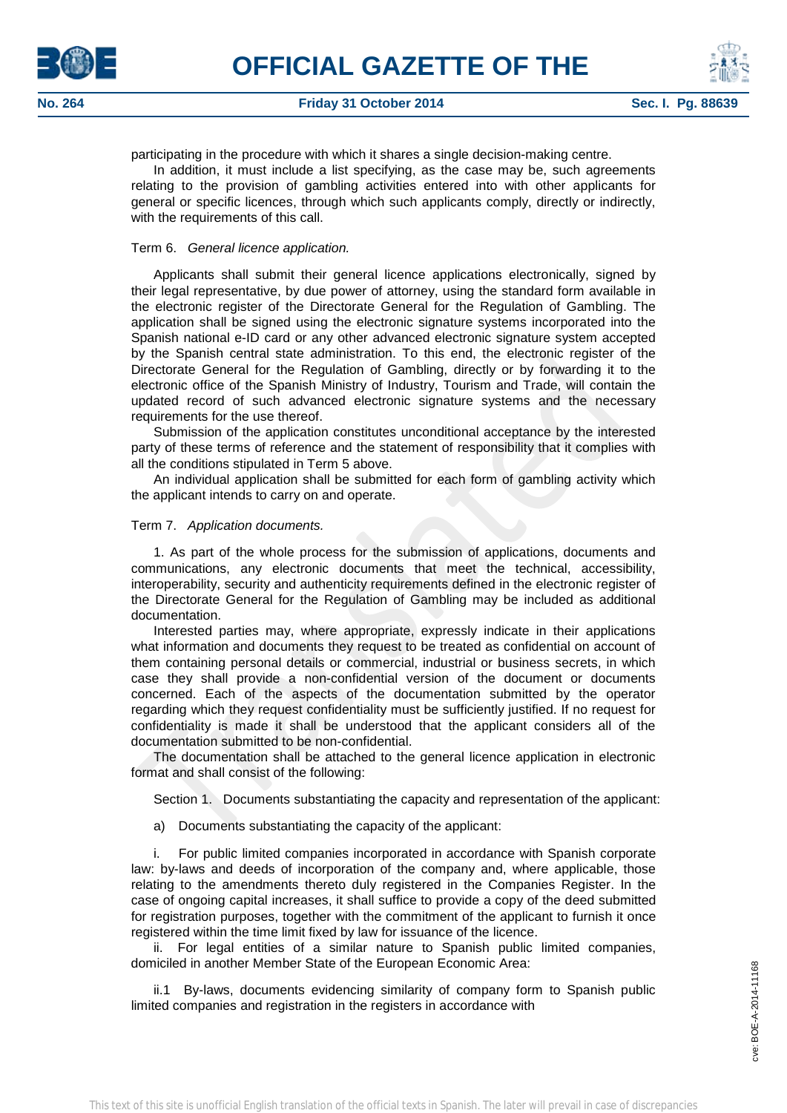



participating in the procedure with which it shares a single decision-making centre.

In addition, it must include a list specifying, as the case may be, such agreements relating to the provision of gambling activities entered into with other applicants for general or specific licences, through which such applicants comply, directly or indirectly, with the requirements of this call.

# Term 6. *General licence application.*

Applicants shall submit their general licence applications electronically, signed by their legal representative, by due power of attorney, using the standard form available in the electronic register of the Directorate General for the Regulation of Gambling. The application shall be signed using the electronic signature systems incorporated into the Spanish national e-ID card or any other advanced electronic signature system accepted by the Spanish central state administration. To this end, the electronic register of the Directorate General for the Regulation of Gambling, directly or by forwarding it to the electronic office of the Spanish Ministry of Industry, Tourism and Trade, will contain the updated record of such advanced electronic signature systems and the necessary requirements for the use thereof.

Submission of the application constitutes unconditional acceptance by the interested party of these terms of reference and the statement of responsibility that it complies with all the conditions stipulated in Term 5 above.

An individual application shall be submitted for each form of gambling activity which the applicant intends to carry on and operate.

# Term 7. *Application documents.*

1. As part of the whole process for the submission of applications, documents and communications, any electronic documents that meet the technical, accessibility, interoperability, security and authenticity requirements defined in the electronic register of the Directorate General for the Regulation of Gambling may be included as additional documentation.

Interested parties may, where appropriate, expressly indicate in their applications what information and documents they request to be treated as confidential on account of them containing personal details or commercial, industrial or business secrets, in which case they shall provide a non-confidential version of the document or documents concerned. Each of the aspects of the documentation submitted by the operator regarding which they request confidentiality must be sufficiently justified. If no request for confidentiality is made it shall be understood that the applicant considers all of the documentation submitted to be non-confidential.

The documentation shall be attached to the general licence application in electronic format and shall consist of the following:

Section 1. Documents substantiating the capacity and representation of the applicant:

a) Documents substantiating the capacity of the applicant:

i. For public limited companies incorporated in accordance with Spanish corporate law: by-laws and deeds of incorporation of the company and, where applicable, those relating to the amendments thereto duly registered in the Companies Register. In the case of ongoing capital increases, it shall suffice to provide a copy of the deed submitted for registration purposes, together with the commitment of the applicant to furnish it once registered within the time limit fixed by law for issuance of the licence.

ii. For legal entities of a similar nature to Spanish public limited companies, domiciled in another Member State of the European Economic Area:

ii.1 By-laws, documents evidencing similarity of company form to Spanish public limited companies and registration in the registers in accordance with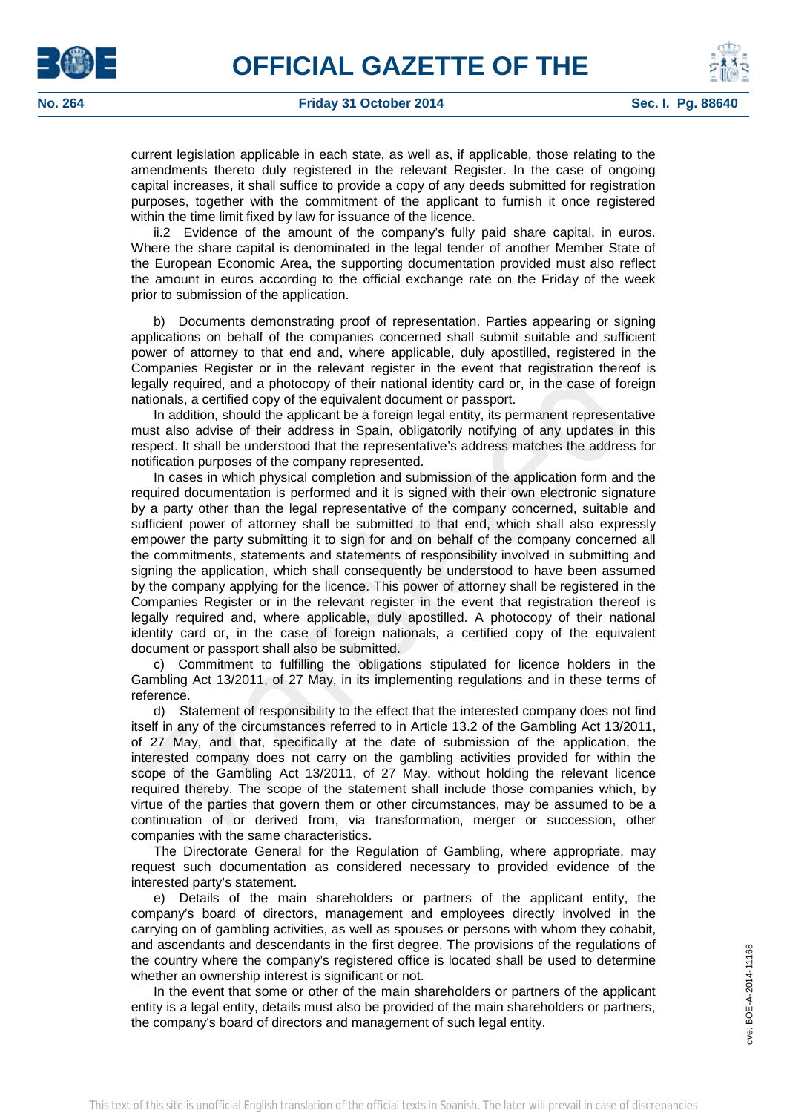



current legislation applicable in each state, as well as, if applicable, those relating to the amendments thereto duly registered in the relevant Register. In the case of ongoing capital increases, it shall suffice to provide a copy of any deeds submitted for registration purposes, together with the commitment of the applicant to furnish it once registered within the time limit fixed by law for issuance of the licence.

ii.2 Evidence of the amount of the company's fully paid share capital, in euros. Where the share capital is denominated in the legal tender of another Member State of the European Economic Area, the supporting documentation provided must also reflect the amount in euros according to the official exchange rate on the Friday of the week prior to submission of the application.

b) Documents demonstrating proof of representation. Parties appearing or signing applications on behalf of the companies concerned shall submit suitable and sufficient power of attorney to that end and, where applicable, duly apostilled, registered in the Companies Register or in the relevant register in the event that registration thereof is legally required, and a photocopy of their national identity card or, in the case of foreign nationals, a certified copy of the equivalent document or passport.

In addition, should the applicant be a foreign legal entity, its permanent representative must also advise of their address in Spain, obligatorily notifying of any updates in this respect. It shall be understood that the representative's address matches the address for notification purposes of the company represented.

In cases in which physical completion and submission of the application form and the required documentation is performed and it is signed with their own electronic signature by a party other than the legal representative of the company concerned, suitable and sufficient power of attorney shall be submitted to that end, which shall also expressly empower the party submitting it to sign for and on behalf of the company concerned all the commitments, statements and statements of responsibility involved in submitting and signing the application, which shall consequently be understood to have been assumed by the company applying for the licence. This power of attorney shall be registered in the Companies Register or in the relevant register in the event that registration thereof is legally required and, where applicable, duly apostilled. A photocopy of their national identity card or, in the case of foreign nationals, a certified copy of the equivalent document or passport shall also be submitted.

c) Commitment to fulfilling the obligations stipulated for licence holders in the Gambling Act 13/2011, of 27 May, in its implementing regulations and in these terms of reference.

d) Statement of responsibility to the effect that the interested company does not find itself in any of the circumstances referred to in Article 13.2 of the Gambling Act 13/2011, of 27 May, and that, specifically at the date of submission of the application, the interested company does not carry on the gambling activities provided for within the scope of the Gambling Act 13/2011, of 27 May, without holding the relevant licence required thereby. The scope of the statement shall include those companies which, by virtue of the parties that govern them or other circumstances, may be assumed to be a continuation of or derived from, via transformation, merger or succession, other companies with the same characteristics.

The Directorate General for the Regulation of Gambling, where appropriate, may request such documentation as considered necessary to provided evidence of the interested party's statement.

e) Details of the main shareholders or partners of the applicant entity, the company's board of directors, management and employees directly involved in the carrying on of gambling activities, as well as spouses or persons with whom they cohabit, and ascendants and descendants in the first degree. The provisions of the regulations of the country where the company's registered office is located shall be used to determine whether an ownership interest is significant or not.

In the event that some or other of the main shareholders or partners of the applicant entity is a legal entity, details must also be provided of the main shareholders or partners, the company's board of directors and management of such legal entity.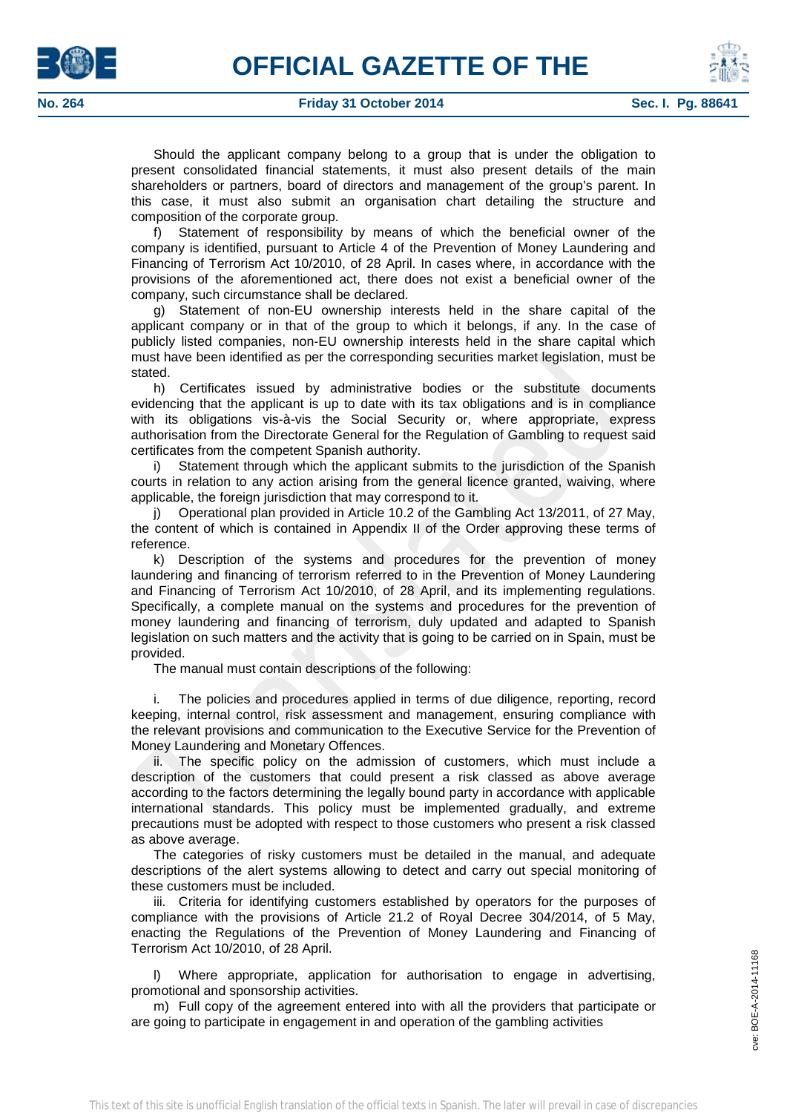



Should the applicant company belong to a group that is under the obligation to present consolidated financial statements, it must also present details of the main shareholders or partners, board of directors and management of the group's parent. In this case, it must also submit an organisation chart detailing the structure and composition of the corporate group.

f) Statement of responsibility by means of which the beneficial owner of the company is identified, pursuant to Article 4 of the Prevention of Money Laundering and Financing of Terrorism Act 10/2010, of 28 April. In cases where, in accordance with the provisions of the aforementioned act, there does not exist a beneficial owner of the company, such circumstance shall be declared.

g) Statement of non-EU ownership interests held in the share capital of the applicant company or in that of the group to which it belongs, if any. In the case of publicly listed companies, non-EU ownership interests held in the share capital which must have been identified as per the corresponding securities market legislation, must be stated.

h) Certificates issued by administrative bodies or the substitute documents evidencing that the applicant is up to date with its tax obligations and is in compliance with its obligations vis-à-vis the Social Security or, where appropriate, express authorisation from the Directorate General for the Regulation of Gambling to request said certificates from the competent Spanish authority.

i) Statement through which the applicant submits to the jurisdiction of the Spanish courts in relation to any action arising from the general licence granted, waiving, where applicable, the foreign jurisdiction that may correspond to it.

j) Operational plan provided in Article 10.2 of the Gambling Act 13/2011, of 27 May, the content of which is contained in Appendix II of the Order approving these terms of reference.

k) Description of the systems and procedures for the prevention of money laundering and financing of terrorism referred to in the Prevention of Money Laundering and Financing of Terrorism Act 10/2010, of 28 April, and its implementing regulations. Specifically, a complete manual on the systems and procedures for the prevention of money laundering and financing of terrorism, duly updated and adapted to Spanish legislation on such matters and the activity that is going to be carried on in Spain, must be provided.

The manual must contain descriptions of the following:

i. The policies and procedures applied in terms of due diligence, reporting, record keeping, internal control, risk assessment and management, ensuring compliance with the relevant provisions and communication to the Executive Service for the Prevention of Money Laundering and Monetary Offences.

ii. The specific policy on the admission of customers, which must include a description of the customers that could present a risk classed as above average according to the factors determining the legally bound party in accordance with applicable international standards. This policy must be implemented gradually, and extreme precautions must be adopted with respect to those customers who present a risk classed as above average.

The categories of risky customers must be detailed in the manual, and adequate descriptions of the alert systems allowing to detect and carry out special monitoring of these customers must be included.

iii. Criteria for identifying customers established by operators for the purposes of compliance with the provisions of Article 21.2 of Royal Decree 304/2014, of 5 May, enacting the Regulations of the Prevention of Money Laundering and Financing of Terrorism Act 10/2010, of 28 April.

l) Where appropriate, application for authorisation to engage in advertising, promotional and sponsorship activities.

m) Full copy of the agreement entered into with all the providers that participate or are going to participate in engagement in and operation of the gambling activities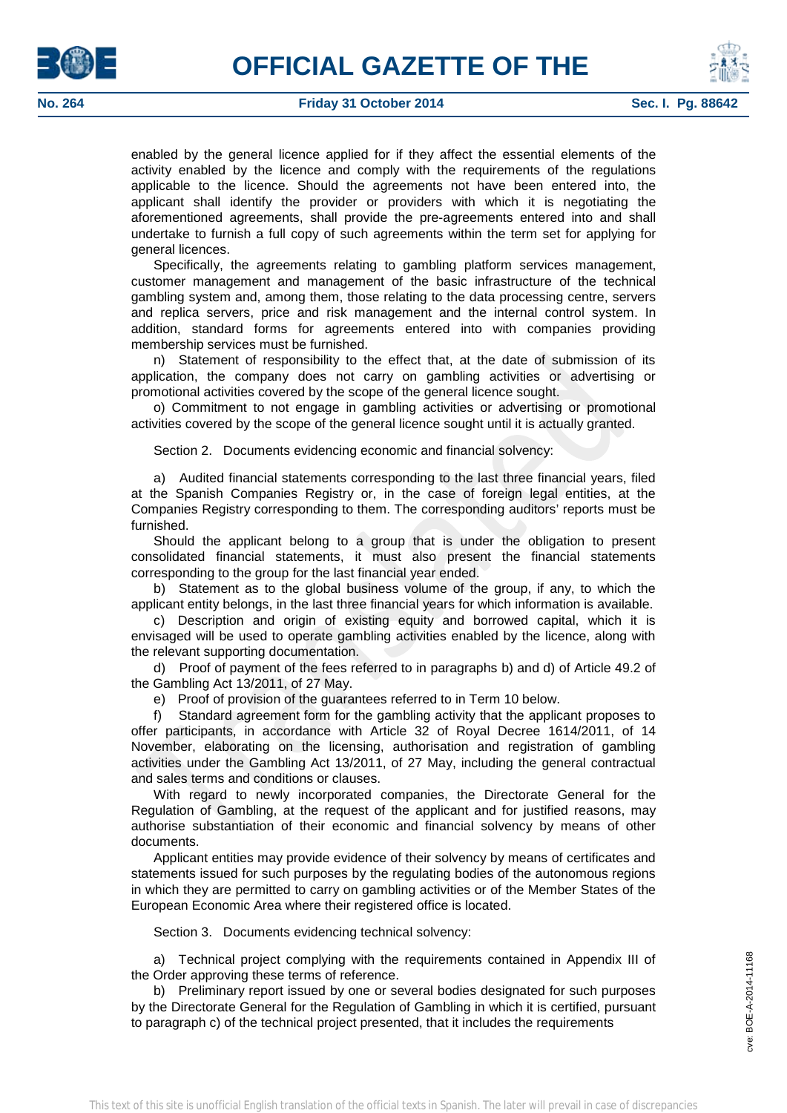



enabled by the general licence applied for if they affect the essential elements of the activity enabled by the licence and comply with the requirements of the regulations applicable to the licence. Should the agreements not have been entered into, the applicant shall identify the provider or providers with which it is negotiating the aforementioned agreements, shall provide the pre-agreements entered into and shall undertake to furnish a full copy of such agreements within the term set for applying for general licences.

Specifically, the agreements relating to gambling platform services management, customer management and management of the basic infrastructure of the technical gambling system and, among them, those relating to the data processing centre, servers and replica servers, price and risk management and the internal control system. In addition, standard forms for agreements entered into with companies providing membership services must be furnished.

n) Statement of responsibility to the effect that, at the date of submission of its application, the company does not carry on gambling activities or advertising or promotional activities covered by the scope of the general licence sought.

o) Commitment to not engage in gambling activities or advertising or promotional activities covered by the scope of the general licence sought until it is actually granted.

Section 2. Documents evidencing economic and financial solvency:

a) Audited financial statements corresponding to the last three financial years, filed at the Spanish Companies Registry or, in the case of foreign legal entities, at the Companies Registry corresponding to them. The corresponding auditors' reports must be furnished.

Should the applicant belong to a group that is under the obligation to present consolidated financial statements, it must also present the financial statements corresponding to the group for the last financial year ended.

b) Statement as to the global business volume of the group, if any, to which the applicant entity belongs, in the last three financial years for which information is available.

c) Description and origin of existing equity and borrowed capital, which it is envisaged will be used to operate gambling activities enabled by the licence, along with the relevant supporting documentation.

d) Proof of payment of the fees referred to in paragraphs b) and d) of Article 49.2 of the Gambling Act 13/2011, of 27 May.

e) Proof of provision of the guarantees referred to in Term 10 below.

f) Standard agreement form for the gambling activity that the applicant proposes to offer participants, in accordance with Article 32 of Royal Decree 1614/2011, of 14 November, elaborating on the licensing, authorisation and registration of gambling activities under the Gambling Act 13/2011, of 27 May, including the general contractual and sales terms and conditions or clauses.

With regard to newly incorporated companies, the Directorate General for the Regulation of Gambling, at the request of the applicant and for justified reasons, may authorise substantiation of their economic and financial solvency by means of other documents.

Applicant entities may provide evidence of their solvency by means of certificates and statements issued for such purposes by the regulating bodies of the autonomous regions in which they are permitted to carry on gambling activities or of the Member States of the European Economic Area where their registered office is located.

Section 3. Documents evidencing technical solvency:

a) Technical project complying with the requirements contained in Appendix III of the Order approving these terms of reference.

b) Preliminary report issued by one or several bodies designated for such purposes by the Directorate General for the Regulation of Gambling in which it is certified, pursuant to paragraph c) of the technical project presented, that it includes the requirements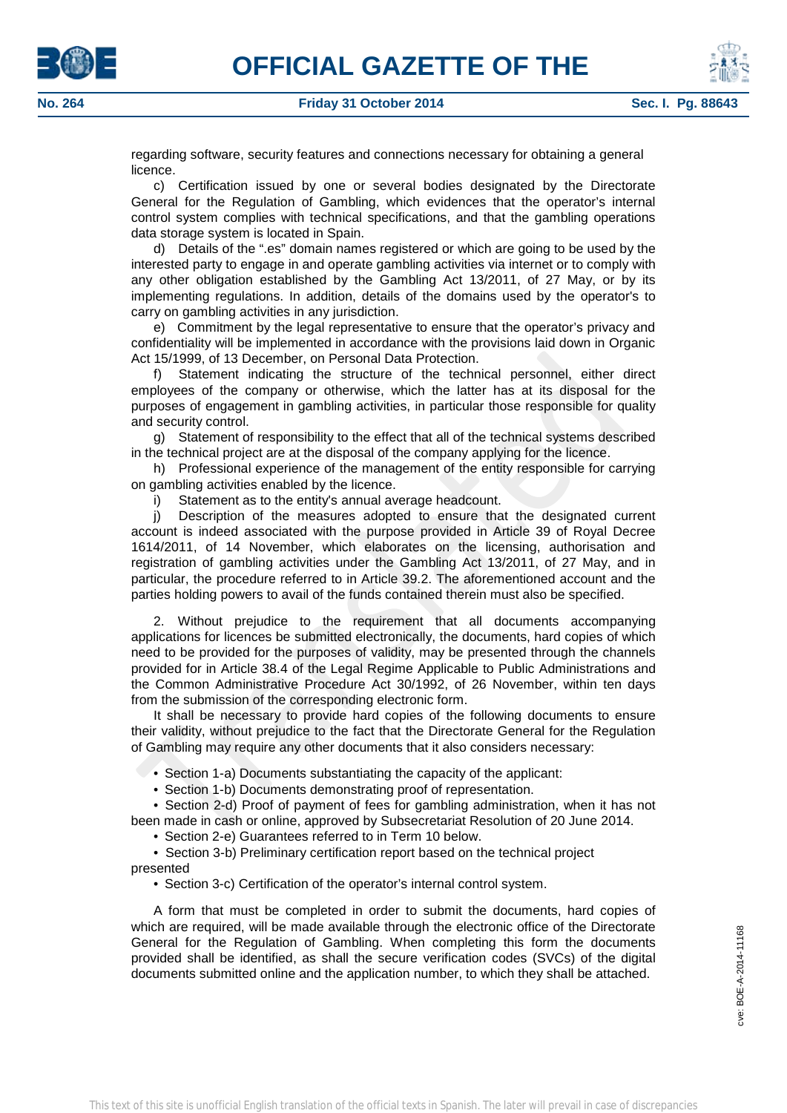





c) Certification issued by one or several bodies designated by the Directorate General for the Regulation of Gambling, which evidences that the operator's internal control system complies with technical specifications, and that the gambling operations data storage system is located in Spain.

d) Details of the ".es" domain names registered or which are going to be used by the interested party to engage in and operate gambling activities via internet or to comply with any other obligation established by the Gambling Act 13/2011, of 27 May, or by its implementing regulations. In addition, details of the domains used by the operator's to carry on gambling activities in any jurisdiction.

e) Commitment by the legal representative to ensure that the operator's privacy and confidentiality will be implemented in accordance with the provisions laid down in Organic Act 15/1999, of 13 December, on Personal Data Protection.

f) Statement indicating the structure of the technical personnel, either direct employees of the company or otherwise, which the latter has at its disposal for the purposes of engagement in gambling activities, in particular those responsible for quality and security control.

g) Statement of responsibility to the effect that all of the technical systems described in the technical project are at the disposal of the company applying for the licence.

h) Professional experience of the management of the entity responsible for carrying on gambling activities enabled by the licence.

i) Statement as to the entity's annual average headcount.

j) Description of the measures adopted to ensure that the designated current account is indeed associated with the purpose provided in Article 39 of Royal Decree 1614/2011, of 14 November, which elaborates on the licensing, authorisation and registration of gambling activities under the Gambling Act 13/2011, of 27 May, and in particular, the procedure referred to in Article 39.2. The aforementioned account and the parties holding powers to avail of the funds contained therein must also be specified.

2. Without prejudice to the requirement that all documents accompanying applications for licences be submitted electronically, the documents, hard copies of which need to be provided for the purposes of validity, may be presented through the channels provided for in Article 38.4 of the Legal Regime Applicable to Public Administrations and the Common Administrative Procedure Act 30/1992, of 26 November, within ten days from the submission of the corresponding electronic form.

It shall be necessary to provide hard copies of the following documents to ensure their validity, without prejudice to the fact that the Directorate General for the Regulation of Gambling may require any other documents that it also considers necessary:

• Section 1-a) Documents substantiating the capacity of the applicant:

• Section 1-b) Documents demonstrating proof of representation.

• Section 2-d) Proof of payment of fees for gambling administration, when it has not

been made in cash or online, approved by Subsecretariat Resolution of 20 June 2014.

• Section 2-e) Guarantees referred to in Term 10 below.

• Section 3-b) Preliminary certification report based on the technical project presented

• Section 3-c) Certification of the operator's internal control system.

A form that must be completed in order to submit the documents, hard copies of which are required, will be made available through the electronic office of the Directorate General for the Regulation of Gambling. When completing this form the documents provided shall be identified, as shall the secure verification codes (SVCs) of the digital documents submitted online and the application number, to which they shall be attached.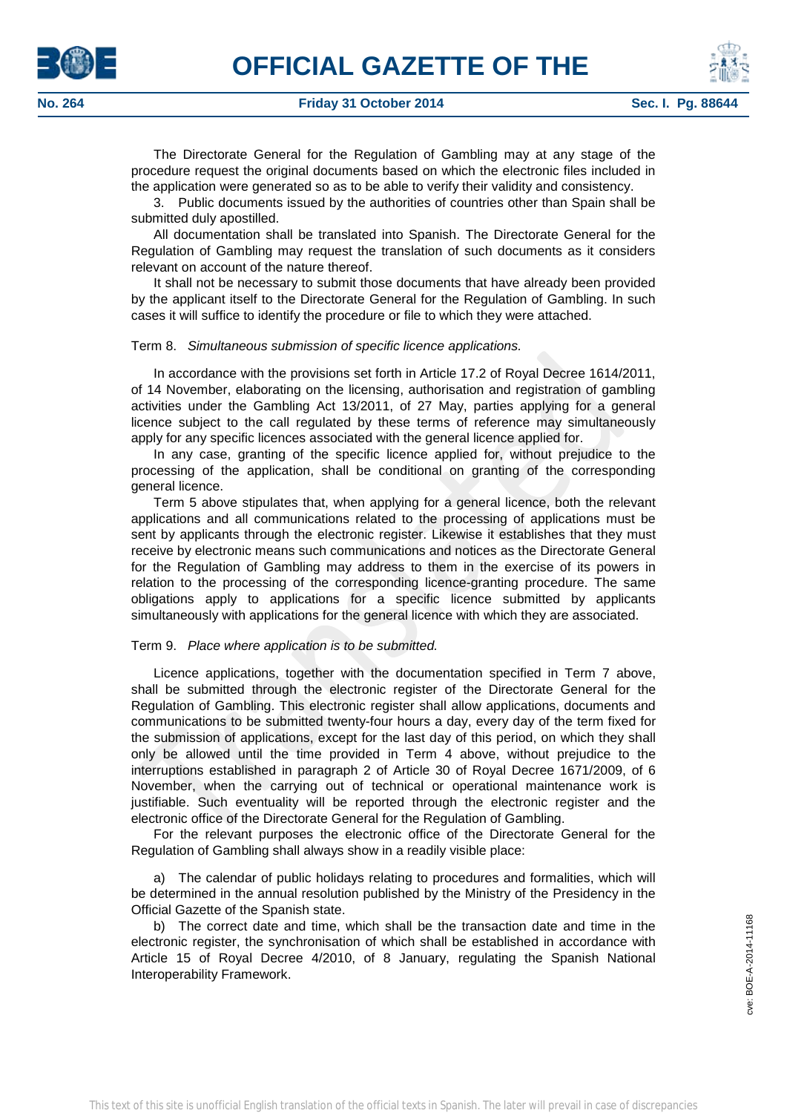



The Directorate General for the Regulation of Gambling may at any stage of the procedure request the original documents based on which the electronic files included in the application were generated so as to be able to verify their validity and consistency.

3. Public documents issued by the authorities of countries other than Spain shall be submitted duly apostilled.

All documentation shall be translated into Spanish. The Directorate General for the Regulation of Gambling may request the translation of such documents as it considers relevant on account of the nature thereof.

It shall not be necessary to submit those documents that have already been provided by the applicant itself to the Directorate General for the Regulation of Gambling. In such cases it will suffice to identify the procedure or file to which they were attached.

## Term 8. *Simultaneous submission of specific licence applications.*

In accordance with the provisions set forth in Article 17.2 of Royal Decree 1614/2011, of 14 November, elaborating on the licensing, authorisation and registration of gambling activities under the Gambling Act 13/2011, of 27 May, parties applying for a general licence subject to the call regulated by these terms of reference may simultaneously apply for any specific licences associated with the general licence applied for.

In any case, granting of the specific licence applied for, without prejudice to the processing of the application, shall be conditional on granting of the corresponding general licence.

Term 5 above stipulates that, when applying for a general licence, both the relevant applications and all communications related to the processing of applications must be sent by applicants through the electronic register. Likewise it establishes that they must receive by electronic means such communications and notices as the Directorate General for the Regulation of Gambling may address to them in the exercise of its powers in relation to the processing of the corresponding licence-granting procedure. The same obligations apply to applications for a specific licence submitted by applicants simultaneously with applications for the general licence with which they are associated.

# Term 9. *Place where application is to be submitted.*

Licence applications, together with the documentation specified in Term 7 above, shall be submitted through the electronic register of the Directorate General for the Regulation of Gambling. This electronic register shall allow applications, documents and communications to be submitted twenty-four hours a day, every day of the term fixed for the submission of applications, except for the last day of this period, on which they shall only be allowed until the time provided in Term 4 above, without prejudice to the interruptions established in paragraph 2 of Article 30 of Royal Decree 1671/2009, of 6 November, when the carrying out of technical or operational maintenance work is justifiable. Such eventuality will be reported through the electronic register and the electronic office of the Directorate General for the Regulation of Gambling.

For the relevant purposes the electronic office of the Directorate General for the Regulation of Gambling shall always show in a readily visible place:

a) The calendar of public holidays relating to procedures and formalities, which will be determined in the annual resolution published by the Ministry of the Presidency in the Official Gazette of the Spanish state.

b) The correct date and time, which shall be the transaction date and time in the electronic register, the synchronisation of which shall be established in accordance with Article 15 of Royal Decree 4/2010, of 8 January, regulating the Spanish National Interoperability Framework.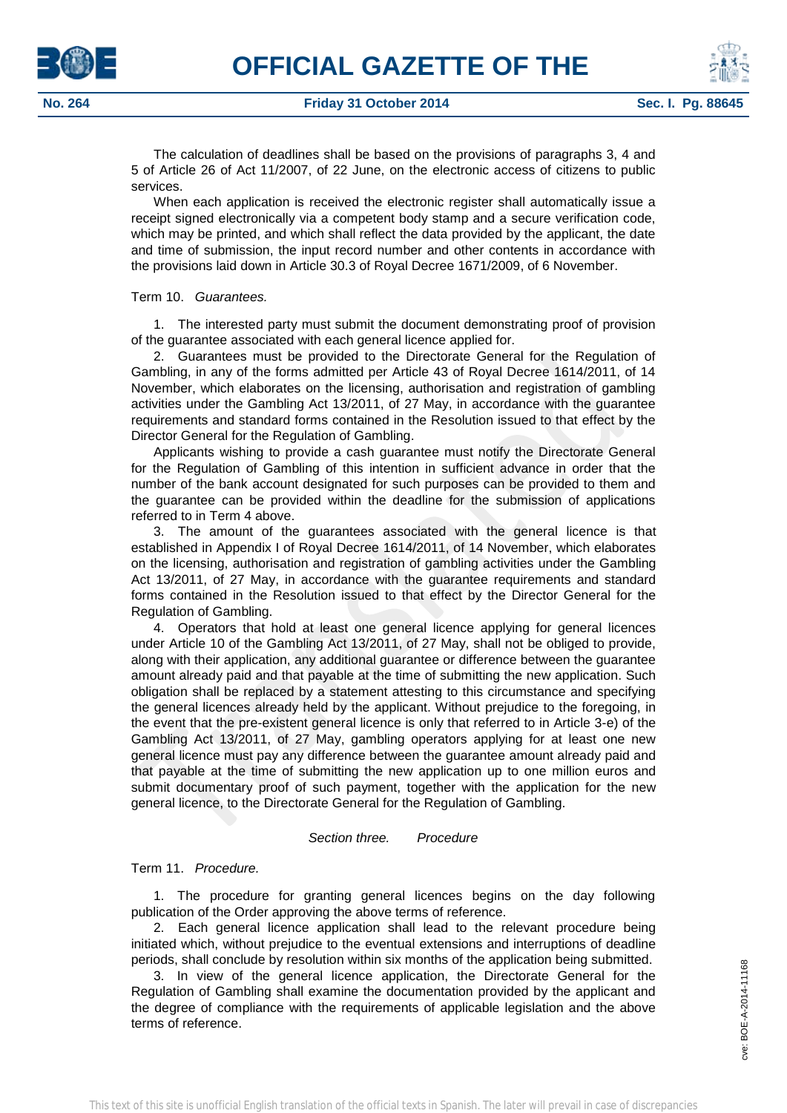The calculation of deadlines shall be based on the provisions of paragraphs 3, 4 and 5 of Article 26 of Act 11/2007, of 22 June, on the electronic access of citizens to public services.

When each application is received the electronic register shall automatically issue a receipt signed electronically via a competent body stamp and a secure verification code, which may be printed, and which shall reflect the data provided by the applicant, the date and time of submission, the input record number and other contents in accordance with the provisions laid down in Article 30.3 of Royal Decree 1671/2009, of 6 November.

# Term 10. *Guarantees.*

1. The interested party must submit the document demonstrating proof of provision of the guarantee associated with each general licence applied for.

2. Guarantees must be provided to the Directorate General for the Regulation of Gambling, in any of the forms admitted per Article 43 of Royal Decree 1614/2011, of 14 November, which elaborates on the licensing, authorisation and registration of gambling activities under the Gambling Act 13/2011, of 27 May, in accordance with the guarantee requirements and standard forms contained in the Resolution issued to that effect by the Director General for the Regulation of Gambling.

Applicants wishing to provide a cash guarantee must notify the Directorate General for the Regulation of Gambling of this intention in sufficient advance in order that the number of the bank account designated for such purposes can be provided to them and the guarantee can be provided within the deadline for the submission of applications referred to in Term 4 above.

3. The amount of the guarantees associated with the general licence is that established in Appendix I of Royal Decree 1614/2011, of 14 November, which elaborates on the licensing, authorisation and registration of gambling activities under the Gambling Act 13/2011, of 27 May, in accordance with the guarantee requirements and standard forms contained in the Resolution issued to that effect by the Director General for the Regulation of Gambling.

4. Operators that hold at least one general licence applying for general licences under Article 10 of the Gambling Act 13/2011, of 27 May, shall not be obliged to provide, along with their application, any additional guarantee or difference between the guarantee amount already paid and that payable at the time of submitting the new application. Such obligation shall be replaced by a statement attesting to this circumstance and specifying the general licences already held by the applicant. Without prejudice to the foregoing, in the event that the pre-existent general licence is only that referred to in Article 3-e) of the Gambling Act 13/2011, of 27 May, gambling operators applying for at least one new general licence must pay any difference between the guarantee amount already paid and that payable at the time of submitting the new application up to one million euros and submit documentary proof of such payment, together with the application for the new general licence, to the Directorate General for the Regulation of Gambling.

# *Section three. Procedure*

# Term 11. *Procedure.*

1. The procedure for granting general licences begins on the day following publication of the Order approving the above terms of reference.

2. Each general licence application shall lead to the relevant procedure being initiated which, without prejudice to the eventual extensions and interruptions of deadline periods, shall conclude by resolution within six months of the application being submitted.

3. In view of the general licence application, the Directorate General for the Regulation of Gambling shall examine the documentation provided by the applicant and the degree of compliance with the requirements of applicable legislation and the above terms of reference.



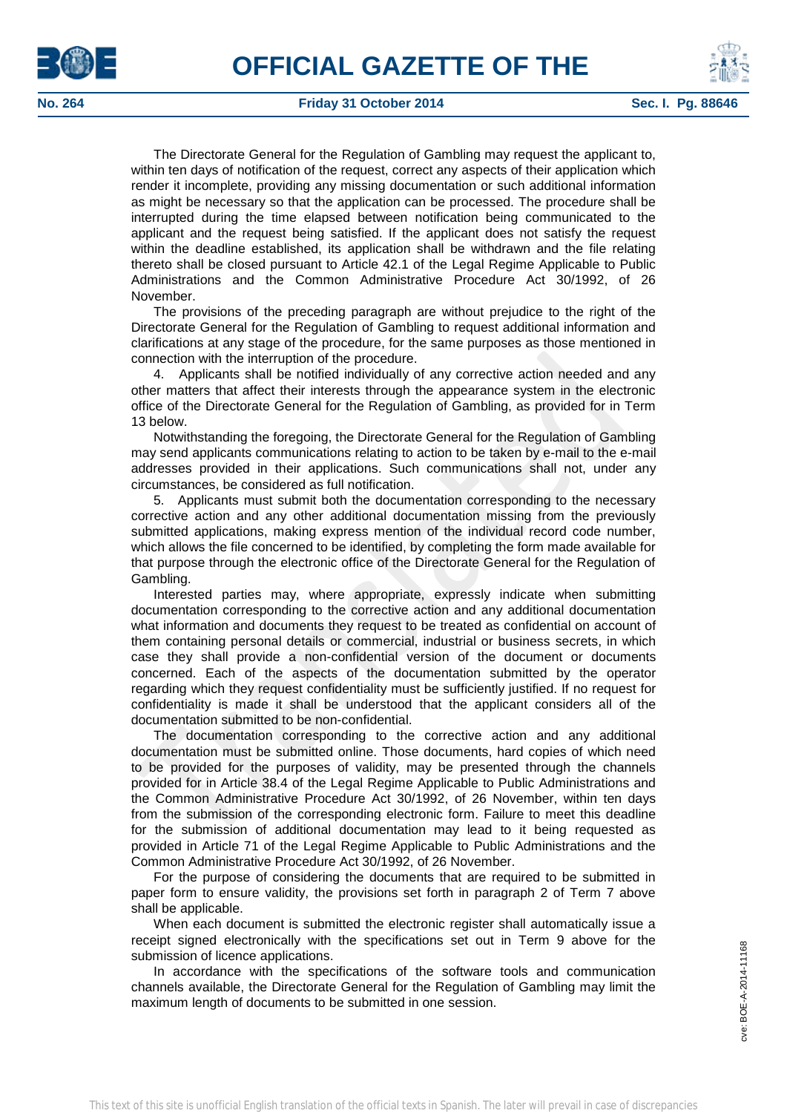



## **No. 264 Friday 31 October 2014 Sec. I. Pg. 88646**

The Directorate General for the Regulation of Gambling may request the applicant to, within ten days of notification of the request, correct any aspects of their application which render it incomplete, providing any missing documentation or such additional information as might be necessary so that the application can be processed. The procedure shall be interrupted during the time elapsed between notification being communicated to the applicant and the request being satisfied. If the applicant does not satisfy the request within the deadline established, its application shall be withdrawn and the file relating thereto shall be closed pursuant to Article 42.1 of the Legal Regime Applicable to Public Administrations and the Common Administrative Procedure Act 30/1992, of 26 November.

The provisions of the preceding paragraph are without prejudice to the right of the Directorate General for the Regulation of Gambling to request additional information and clarifications at any stage of the procedure, for the same purposes as those mentioned in connection with the interruption of the procedure.

4. Applicants shall be notified individually of any corrective action needed and any other matters that affect their interests through the appearance system in the electronic office of the Directorate General for the Regulation of Gambling, as provided for in Term 13 below.

Notwithstanding the foregoing, the Directorate General for the Regulation of Gambling may send applicants communications relating to action to be taken by e-mail to the e-mail addresses provided in their applications. Such communications shall not, under any circumstances, be considered as full notification.

5. Applicants must submit both the documentation corresponding to the necessary corrective action and any other additional documentation missing from the previously submitted applications, making express mention of the individual record code number, which allows the file concerned to be identified, by completing the form made available for that purpose through the electronic office of the Directorate General for the Regulation of Gambling.

Interested parties may, where appropriate, expressly indicate when submitting documentation corresponding to the corrective action and any additional documentation what information and documents they request to be treated as confidential on account of them containing personal details or commercial, industrial or business secrets, in which case they shall provide a non-confidential version of the document or documents concerned. Each of the aspects of the documentation submitted by the operator regarding which they request confidentiality must be sufficiently justified. If no request for confidentiality is made it shall be understood that the applicant considers all of the documentation submitted to be non-confidential.

The documentation corresponding to the corrective action and any additional documentation must be submitted online. Those documents, hard copies of which need to be provided for the purposes of validity, may be presented through the channels provided for in Article 38.4 of the Legal Regime Applicable to Public Administrations and the Common Administrative Procedure Act 30/1992, of 26 November, within ten days from the submission of the corresponding electronic form. Failure to meet this deadline for the submission of additional documentation may lead to it being requested as provided in Article 71 of the Legal Regime Applicable to Public Administrations and the Common Administrative Procedure Act 30/1992, of 26 November.

For the purpose of considering the documents that are required to be submitted in paper form to ensure validity, the provisions set forth in paragraph 2 of Term 7 above shall be applicable.

When each document is submitted the electronic register shall automatically issue a receipt signed electronically with the specifications set out in Term 9 above for the submission of licence applications.

In accordance with the specifications of the software tools and communication channels available, the Directorate General for the Regulation of Gambling may limit the maximum length of documents to be submitted in one session.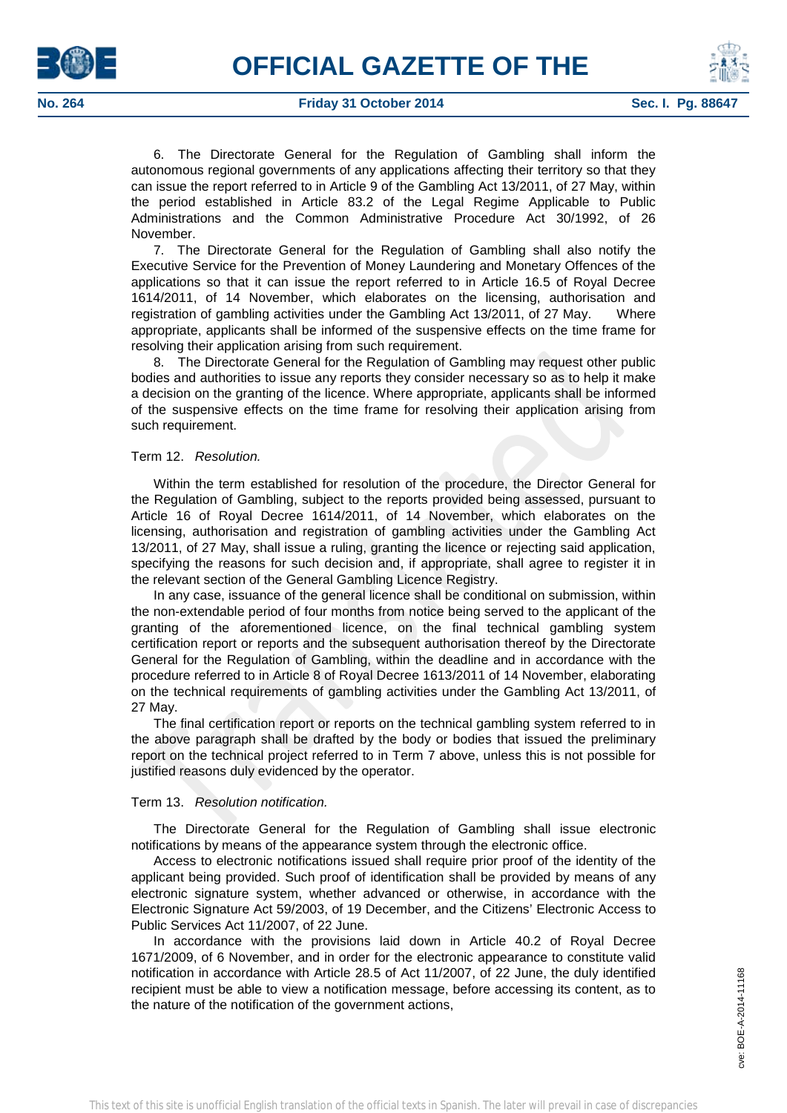



6. The Directorate General for the Regulation of Gambling shall inform the autonomous regional governments of any applications affecting their territory so that they can issue the report referred to in Article 9 of the Gambling Act 13/2011, of 27 May, within the period established in Article 83.2 of the Legal Regime Applicable to Public Administrations and the Common Administrative Procedure Act 30/1992, of 26 November.

7. The Directorate General for the Regulation of Gambling shall also notify the Executive Service for the Prevention of Money Laundering and Monetary Offences of the applications so that it can issue the report referred to in Article 16.5 of Royal Decree 1614/2011, of 14 November, which elaborates on the licensing, authorisation and registration of gambling activities under the Gambling Act 13/2011, of 27 May. Where appropriate, applicants shall be informed of the suspensive effects on the time frame for resolving their application arising from such requirement.

8. The Directorate General for the Regulation of Gambling may request other public bodies and authorities to issue any reports they consider necessary so as to help it make a decision on the granting of the licence. Where appropriate, applicants shall be informed of the suspensive effects on the time frame for resolving their application arising from such requirement.

# Term 12. *Resolution.*

Within the term established for resolution of the procedure, the Director General for the Regulation of Gambling, subject to the reports provided being assessed, pursuant to Article 16 of Royal Decree 1614/2011, of 14 November, which elaborates on the licensing, authorisation and registration of gambling activities under the Gambling Act 13/2011, of 27 May, shall issue a ruling, granting the licence or rejecting said application, specifying the reasons for such decision and, if appropriate, shall agree to register it in the relevant section of the General Gambling Licence Registry.

In any case, issuance of the general licence shall be conditional on submission, within the non-extendable period of four months from notice being served to the applicant of the granting of the aforementioned licence, on the final technical gambling system certification report or reports and the subsequent authorisation thereof by the Directorate General for the Regulation of Gambling, within the deadline and in accordance with the procedure referred to in Article 8 of Royal Decree 1613/2011 of 14 November, elaborating on the technical requirements of gambling activities under the Gambling Act 13/2011, of 27 May.

The final certification report or reports on the technical gambling system referred to in the above paragraph shall be drafted by the body or bodies that issued the preliminary report on the technical project referred to in Term 7 above, unless this is not possible for justified reasons duly evidenced by the operator.

# Term 13. *Resolution notification.*

The Directorate General for the Regulation of Gambling shall issue electronic notifications by means of the appearance system through the electronic office.

Access to electronic notifications issued shall require prior proof of the identity of the applicant being provided. Such proof of identification shall be provided by means of any electronic signature system, whether advanced or otherwise, in accordance with the Electronic Signature Act 59/2003, of 19 December, and the Citizens' Electronic Access to Public Services Act 11/2007, of 22 June.

In accordance with the provisions laid down in Article 40.2 of Royal Decree 1671/2009, of 6 November, and in order for the electronic appearance to constitute valid notification in accordance with Article 28.5 of Act 11/2007, of 22 June, the duly identified recipient must be able to view a notification message, before accessing its content, as to the nature of the notification of the government actions,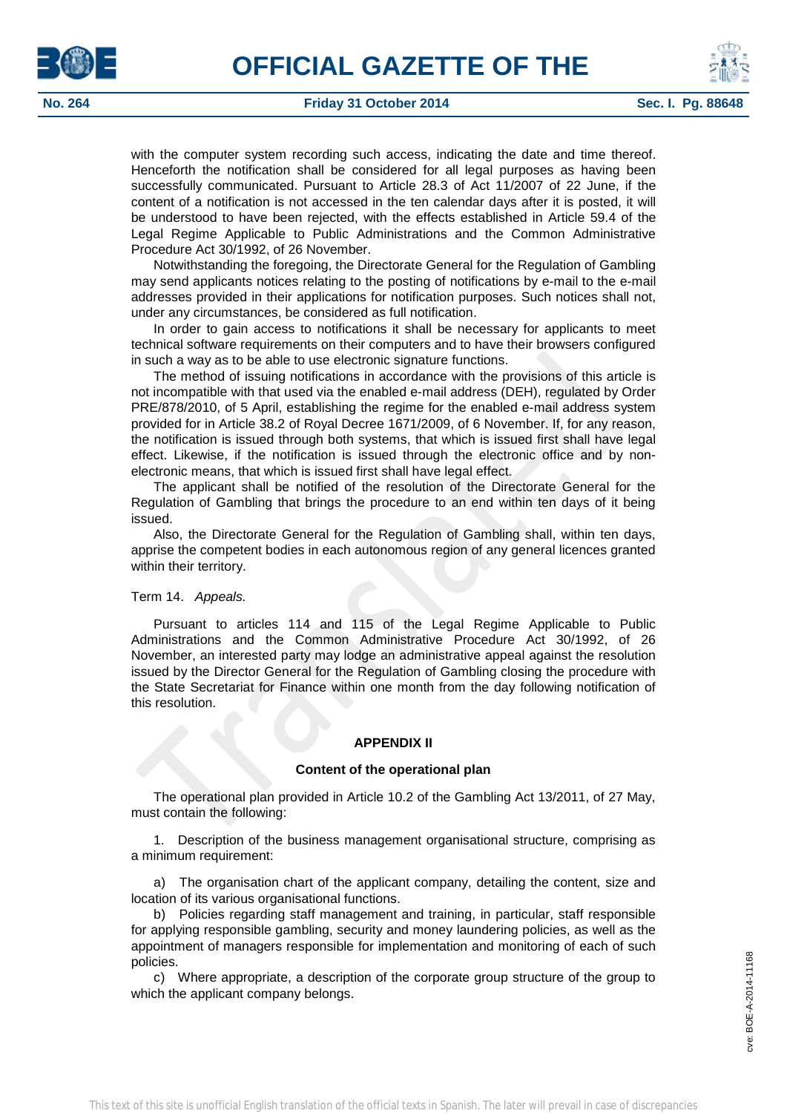



with the computer system recording such access, indicating the date and time thereof. Henceforth the notification shall be considered for all legal purposes as having been successfully communicated. Pursuant to Article 28.3 of Act 11/2007 of 22 June, if the content of a notification is not accessed in the ten calendar days after it is posted, it will be understood to have been rejected, with the effects established in Article 59.4 of the Legal Regime Applicable to Public Administrations and the Common Administrative Procedure Act 30/1992, of 26 November.

Notwithstanding the foregoing, the Directorate General for the Regulation of Gambling may send applicants notices relating to the posting of notifications by e-mail to the e-mail addresses provided in their applications for notification purposes. Such notices shall not, under any circumstances, be considered as full notification.

In order to gain access to notifications it shall be necessary for applicants to meet technical software requirements on their computers and to have their browsers configured in such a way as to be able to use electronic signature functions.

The method of issuing notifications in accordance with the provisions of this article is not incompatible with that used via the enabled e-mail address (DEH), regulated by Order PRE/878/2010, of 5 April, establishing the regime for the enabled e-mail address system provided for in Article 38.2 of Royal Decree 1671/2009, of 6 November. If, for any reason, the notification is issued through both systems, that which is issued first shall have legal effect. Likewise, if the notification is issued through the electronic office and by nonelectronic means, that which is issued first shall have legal effect.

The applicant shall be notified of the resolution of the Directorate General for the Regulation of Gambling that brings the procedure to an end within ten days of it being issued.

Also, the Directorate General for the Regulation of Gambling shall, within ten days, apprise the competent bodies in each autonomous region of any general licences granted within their territory.

# Term 14. *Appeals.*

Pursuant to articles 114 and 115 of the Legal Regime Applicable to Public Administrations and the Common Administrative Procedure Act 30/1992, of 26 November, an interested party may lodge an administrative appeal against the resolution issued by the Director General for the Regulation of Gambling closing the procedure with the State Secretariat for Finance within one month from the day following notification of this resolution.

# **APPENDIX II**

# **Content of the operational plan**

The operational plan provided in Article 10.2 of the Gambling Act 13/2011, of 27 May, must contain the following:

1. Description of the business management organisational structure, comprising as a minimum requirement:

a) The organisation chart of the applicant company, detailing the content, size and location of its various organisational functions.

b) Policies regarding staff management and training, in particular, staff responsible for applying responsible gambling, security and money laundering policies, as well as the appointment of managers responsible for implementation and monitoring of each of such policies.

c) Where appropriate, a description of the corporate group structure of the group to which the applicant company belongs.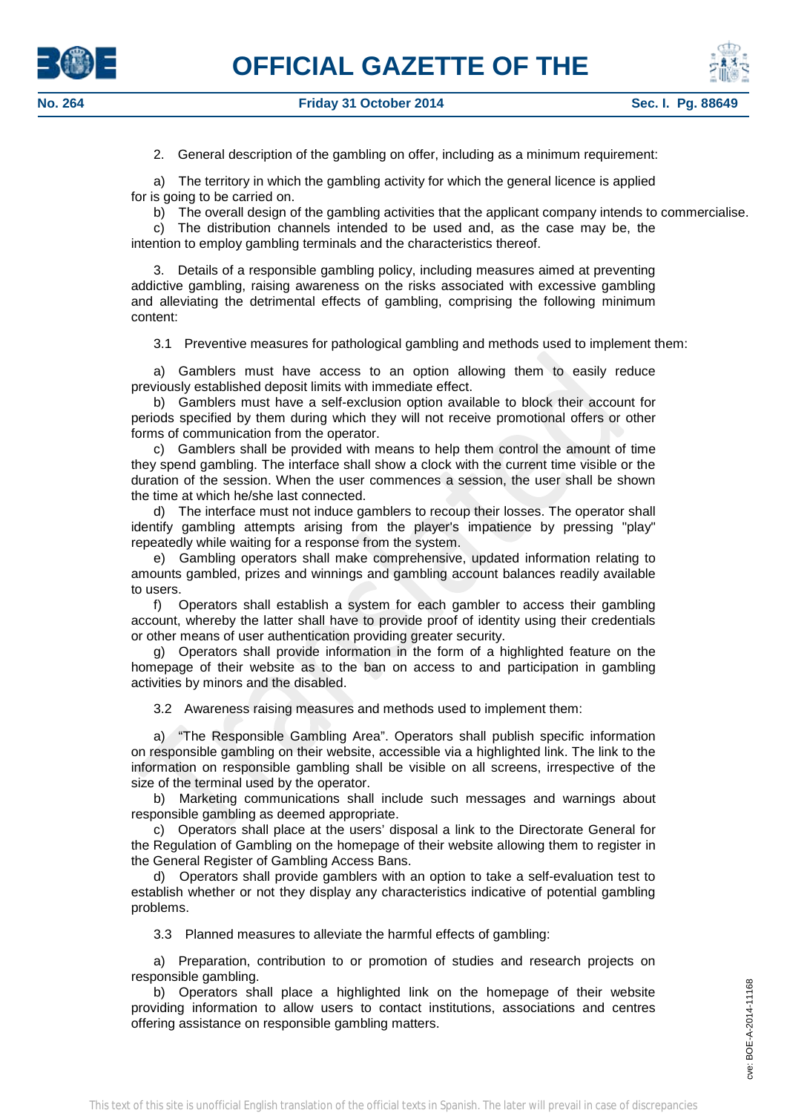



2. General description of the gambling on offer, including as a minimum requirement:

a) The territory in which the gambling activity for which the general licence is applied for is going to be carried on.

b) The overall design of the gambling activities that the applicant company intends to commercialise.

c) The distribution channels intended to be used and, as the case may be, the intention to employ gambling terminals and the characteristics thereof.

3. Details of a responsible gambling policy, including measures aimed at preventing addictive gambling, raising awareness on the risks associated with excessive gambling and alleviating the detrimental effects of gambling, comprising the following minimum content:

3.1 Preventive measures for pathological gambling and methods used to implement them:

a) Gamblers must have access to an option allowing them to easily reduce previously established deposit limits with immediate effect.

b) Gamblers must have a self-exclusion option available to block their account for periods specified by them during which they will not receive promotional offers or other forms of communication from the operator.

c) Gamblers shall be provided with means to help them control the amount of time they spend gambling. The interface shall show a clock with the current time visible or the duration of the session. When the user commences a session, the user shall be shown the time at which he/she last connected.

d) The interface must not induce gamblers to recoup their losses. The operator shall identify gambling attempts arising from the player's impatience by pressing "play" repeatedly while waiting for a response from the system.

e) Gambling operators shall make comprehensive, updated information relating to amounts gambled, prizes and winnings and gambling account balances readily available to users.

f) Operators shall establish a system for each gambler to access their gambling account, whereby the latter shall have to provide proof of identity using their credentials or other means of user authentication providing greater security.

g) Operators shall provide information in the form of a highlighted feature on the homepage of their website as to the ban on access to and participation in gambling activities by minors and the disabled.

3.2 Awareness raising measures and methods used to implement them:

a) "The Responsible Gambling Area". Operators shall publish specific information on responsible gambling on their website, accessible via a highlighted link. The link to the information on responsible gambling shall be visible on all screens, irrespective of the size of the terminal used by the operator.

b) Marketing communications shall include such messages and warnings about responsible gambling as deemed appropriate.

c) Operators shall place at the users' disposal a link to the Directorate General for the Regulation of Gambling on the homepage of their website allowing them to register in the General Register of Gambling Access Bans.

d) Operators shall provide gamblers with an option to take a self-evaluation test to establish whether or not they display any characteristics indicative of potential gambling problems.

3.3 Planned measures to alleviate the harmful effects of gambling:

a) Preparation, contribution to or promotion of studies and research projects on responsible gambling.

b) Operators shall place a highlighted link on the homepage of their website providing information to allow users to contact institutions, associations and centres offering assistance on responsible gambling matters.

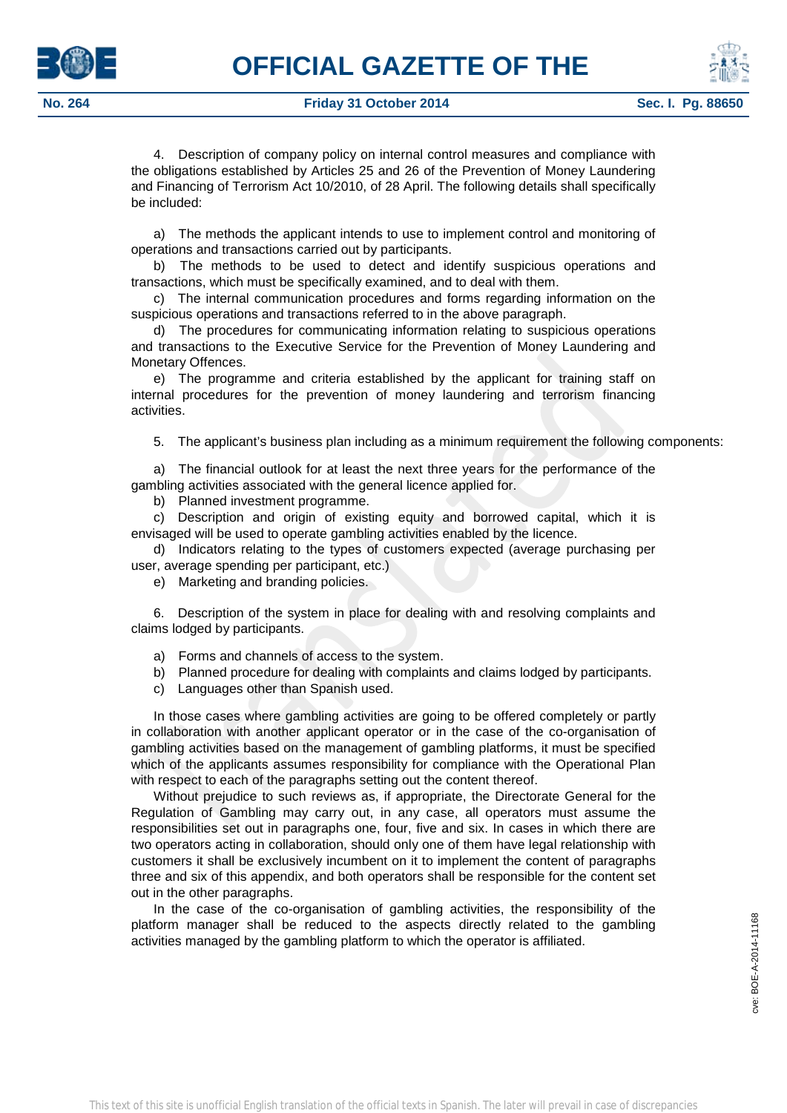

4. Description of company policy on internal control measures and compliance with the obligations established by Articles 25 and 26 of the Prevention of Money Laundering and Financing of Terrorism Act 10/2010, of 28 April. The following details shall specifically be included:

a) The methods the applicant intends to use to implement control and monitoring of operations and transactions carried out by participants.

b) The methods to be used to detect and identify suspicious operations and transactions, which must be specifically examined, and to deal with them.

c) The internal communication procedures and forms regarding information on the suspicious operations and transactions referred to in the above paragraph.

d) The procedures for communicating information relating to suspicious operations and transactions to the Executive Service for the Prevention of Money Laundering and Monetary Offences.

e) The programme and criteria established by the applicant for training staff on internal procedures for the prevention of money laundering and terrorism financing activities.

5. The applicant's business plan including as a minimum requirement the following components:

a) The financial outlook for at least the next three years for the performance of the gambling activities associated with the general licence applied for.

b) Planned investment programme.

c) Description and origin of existing equity and borrowed capital, which it is envisaged will be used to operate gambling activities enabled by the licence.

d) Indicators relating to the types of customers expected (average purchasing per user, average spending per participant, etc.)

e) Marketing and branding policies.

6. Description of the system in place for dealing with and resolving complaints and claims lodged by participants.

a) Forms and channels of access to the system.

- b) Planned procedure for dealing with complaints and claims lodged by participants.
- c) Languages other than Spanish used.

In those cases where gambling activities are going to be offered completely or partly in collaboration with another applicant operator or in the case of the co-organisation of gambling activities based on the management of gambling platforms, it must be specified which of the applicants assumes responsibility for compliance with the Operational Plan with respect to each of the paragraphs setting out the content thereof.

Without prejudice to such reviews as, if appropriate, the Directorate General for the Regulation of Gambling may carry out, in any case, all operators must assume the responsibilities set out in paragraphs one, four, five and six. In cases in which there are two operators acting in collaboration, should only one of them have legal relationship with customers it shall be exclusively incumbent on it to implement the content of paragraphs three and six of this appendix, and both operators shall be responsible for the content set out in the other paragraphs.

In the case of the co-organisation of gambling activities, the responsibility of the platform manager shall be reduced to the aspects directly related to the gambling activities managed by the gambling platform to which the operator is affiliated.

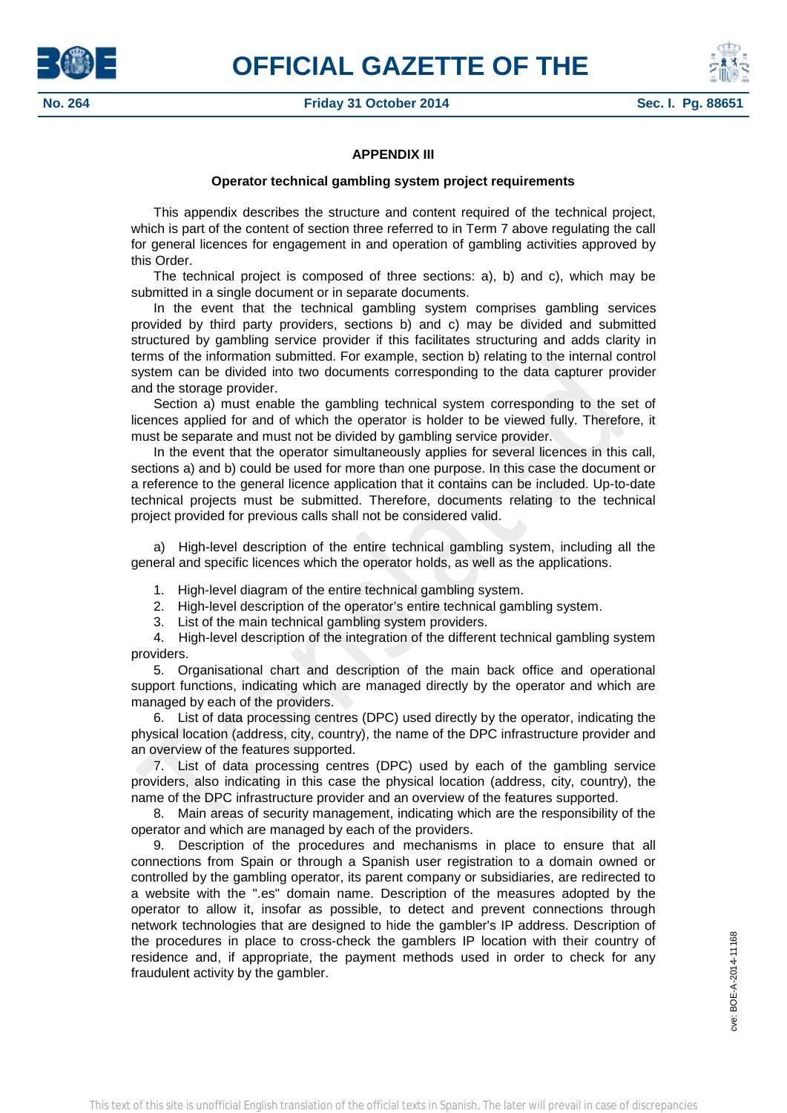



# **APPENDIX III**

## **Operator technical gambling system project requirements**

This appendix describes the structure and content required of the technical project, which is part of the content of section three referred to in Term 7 above regulating the call for general licences for engagement in and operation of gambling activities approved by this Order.

The technical project is composed of three sections: a), b) and c), which may be submitted in a single document or in separate documents.

In the event that the technical gambling system comprises gambling services provided by third party providers, sections b) and c) may be divided and submitted structured by gambling service provider if this facilitates structuring and adds clarity in terms of the information submitted. For example, section b) relating to the internal control system can be divided into two documents corresponding to the data capturer provider and the storage provider.

Section a) must enable the gambling technical system corresponding to the set of licences applied for and of which the operator is holder to be viewed fully. Therefore, it must be separate and must not be divided by gambling service provider.

In the event that the operator simultaneously applies for several licences in this call, sections a) and b) could be used for more than one purpose. In this case the document or a reference to the general licence application that it contains can be included. Up-to-date technical projects must be submitted. Therefore, documents relating to the technical project provided for previous calls shall not be considered valid.

a) High-level description of the entire technical gambling system, including all the general and specific licences which the operator holds, as well as the applications.

- 1. High-level diagram of the entire technical gambling system.
- 2. High-level description of the operator's entire technical gambling system.
- 3. List of the main technical gambling system providers.

4. High-level description of the integration of the different technical gambling system providers.

5. Organisational chart and description of the main back office and operational support functions, indicating which are managed directly by the operator and which are managed by each of the providers.

6. List of data processing centres (DPC) used directly by the operator, indicating the physical location (address, city, country), the name of the DPC infrastructure provider and an overview of the features supported.

7. List of data processing centres (DPC) used by each of the gambling service providers, also indicating in this case the physical location (address, city, country), the name of the DPC infrastructure provider and an overview of the features supported.

8. Main areas of security management, indicating which are the responsibility of the operator and which are managed by each of the providers.

9. Description of the procedures and mechanisms in place to ensure that all connections from Spain or through a Spanish user registration to a domain owned or controlled by the gambling operator, its parent company or subsidiaries, are redirected to a website with the ".es" domain name. Description of the measures adopted by the operator to allow it, insofar as possible, to detect and prevent connections through network technologies that are designed to hide the gambler's IP address. Description of the procedures in place to cross-check the gamblers IP location with their country of residence and, if appropriate, the payment methods used in order to check for any fraudulent activity by the gambler.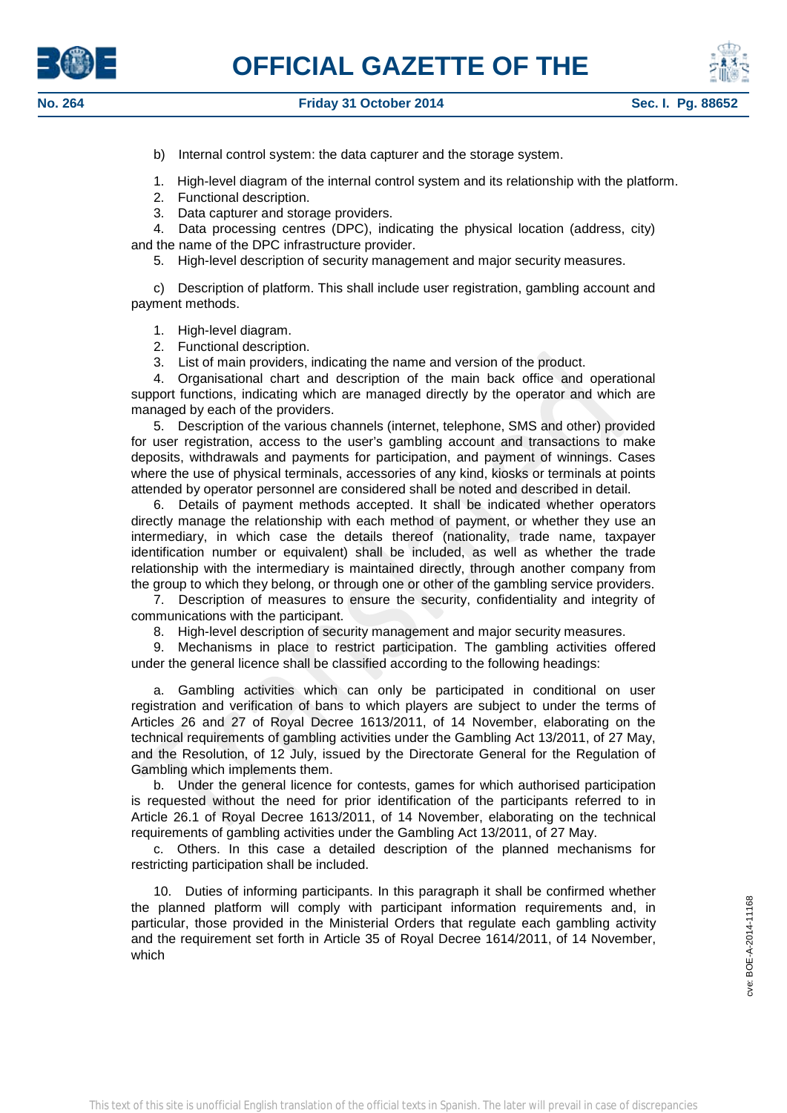



b) Internal control system: the data capturer and the storage system.

- 1. High-level diagram of the internal control system and its relationship with the platform.
- 2. Functional description.
- 3. Data capturer and storage providers.

4. Data processing centres (DPC), indicating the physical location (address, city) and the name of the DPC infrastructure provider.

5. High-level description of security management and major security measures.

c) Description of platform. This shall include user registration, gambling account and payment methods.

1. High-level diagram.

- 2. Functional description.
- 3. List of main providers, indicating the name and version of the product.

4. Organisational chart and description of the main back office and operational support functions, indicating which are managed directly by the operator and which are managed by each of the providers.

5. Description of the various channels (internet, telephone, SMS and other) provided for user registration, access to the user's gambling account and transactions to make deposits, withdrawals and payments for participation, and payment of winnings. Cases where the use of physical terminals, accessories of any kind, kiosks or terminals at points attended by operator personnel are considered shall be noted and described in detail.

6. Details of payment methods accepted. It shall be indicated whether operators directly manage the relationship with each method of payment, or whether they use an intermediary, in which case the details thereof (nationality, trade name, taxpayer identification number or equivalent) shall be included, as well as whether the trade relationship with the intermediary is maintained directly, through another company from the group to which they belong, or through one or other of the gambling service providers.

7. Description of measures to ensure the security, confidentiality and integrity of communications with the participant.

8. High-level description of security management and major security measures.

9. Mechanisms in place to restrict participation. The gambling activities offered under the general licence shall be classified according to the following headings:

a. Gambling activities which can only be participated in conditional on user registration and verification of bans to which players are subject to under the terms of Articles 26 and 27 of Royal Decree 1613/2011, of 14 November, elaborating on the technical requirements of gambling activities under the Gambling Act 13/2011, of 27 May, and the Resolution, of 12 July, issued by the Directorate General for the Regulation of Gambling which implements them.

b. Under the general licence for contests, games for which authorised participation is requested without the need for prior identification of the participants referred to in Article 26.1 of Royal Decree 1613/2011, of 14 November, elaborating on the technical requirements of gambling activities under the Gambling Act 13/2011, of 27 May.

c. Others. In this case a detailed description of the planned mechanisms for restricting participation shall be included.

10. Duties of informing participants. In this paragraph it shall be confirmed whether the planned platform will comply with participant information requirements and, in particular, those provided in the Ministerial Orders that regulate each gambling activity and the requirement set forth in Article 35 of Royal Decree 1614/2011, of 14 November, which